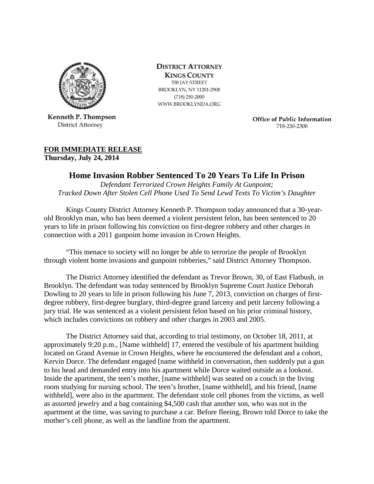

Kenneth P. Thompson **District Attorney** 

**DISTRICT ATTORNEY KINGS COUNTY** 350 JAY STREET BROOKLYN, NY 11201-2908  $(718)$  250-2000 WWW.BROOKLYNDA.ORG

> **Office of Public Information** 718-250-2300

## **FOR IMMEDIATE RELEASE**

**Thursday, July 24, 2014**

## **Home Invasion Robber Sentenced To 20 Years To Life In Prison**

*Defendant Terrorized Crown Heights Family At Gunpoint; Tracked Down After Stolen Cell Phone Used To Send Lewd Texts To Victim's Daughter*

Kings County District Attorney Kenneth P. Thompson today announced that a 30-yearold Brooklyn man, who has been deemed a violent persistent felon, has been sentenced to 20 years to life in prison following his conviction on first-degree robbery and other charges in connection with a 2011 gunpoint home invasion in Crown Heights.

"This menace to society will no longer be able to terrorize the people of Brooklyn through violent home invasions and gunpoint robberies," said District Attorney Thompson.

The District Attorney identified the defendant as Trevor Brown, 30, of East Flatbush, in Brooklyn. The defendant was today sentenced by Brooklyn Supreme Court Justice Deborah Dowling to 20 years to life in prison following his June 7, 2013, conviction on charges of firstdegree robbery, first-degree burglary, third-degree grand larceny and petit larceny following a jury trial. He was sentenced as a violent persistent felon based on his prior criminal history, which includes convictions on robbery and other charges in 2003 and 2005.

The District Attorney said that, according to trial testimony, on October 18, 2011, at approximately 9:20 p.m., [Name withheld] 17, entered the vestibule of his apartment building located on Grand Avenue in Crown Heights, where he encountered the defendant and a cohort, Kervin Dorce. The defendant engaged [name withheld in conversation, then suddenly put a gun to his head and demanded entry into his apartment while Dorce waited outside as a lookout. Inside the apartment, the teen's mother, [name withheld] was seated on a couch in the living room studying for nursing school. The teen's brother, [name withheld], and his friend, [name withheld], were also in the apartment. The defendant stole cell phones from the victims, as well as assorted jewelry and a bag containing \$4,500 cash that another son, who was not in the apartment at the time, was saving to purchase a car. Before fleeing, Brown told Dorce to take the mother's cell phone, as well as the landline from the apartment.